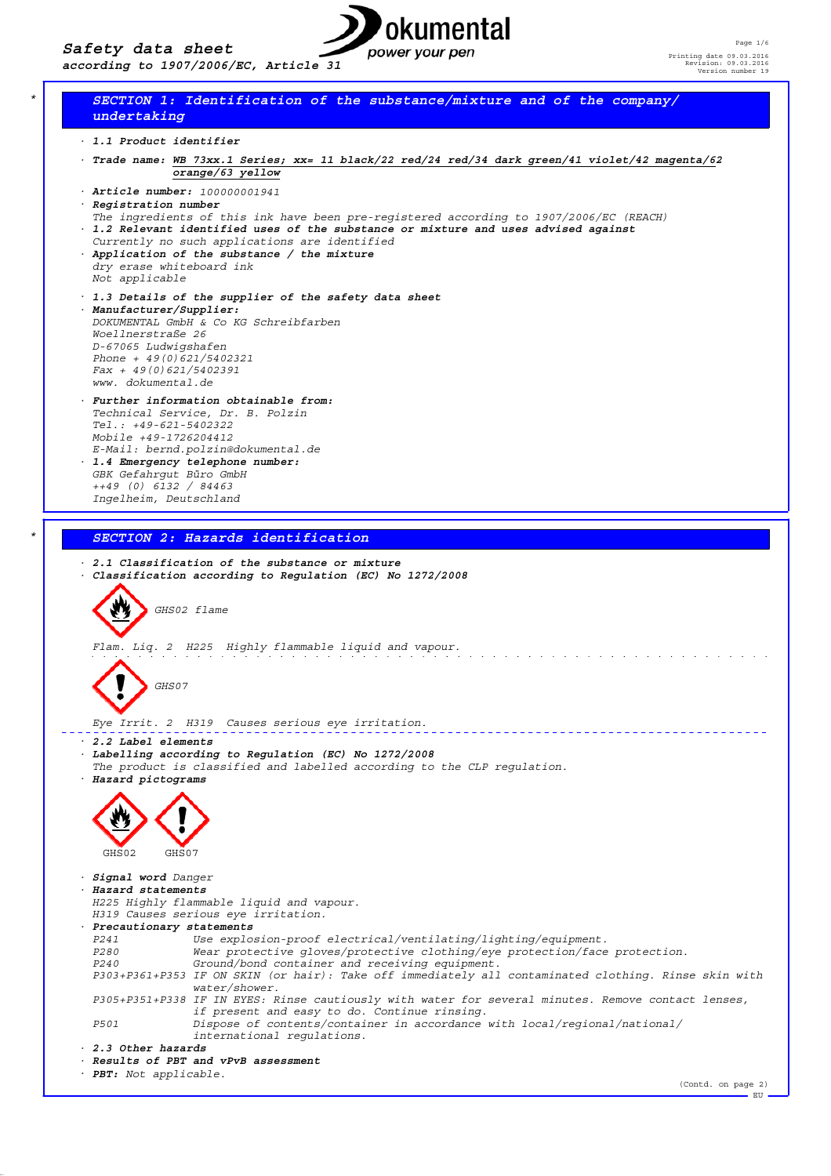

(Contd. on page 2)

 $-EU$ 

# *\* SECTION 1: Identification of the substance/mixture and of the company/ undertaking*

- *· 1.1 Product identifier*
- *· Trade name: WB 73xx.1 Series; xx= 11 black/22 red/24 red/34 dark green/41 violet/42 magenta/62 orange/63 yellow*
- *· Article number: 100000001941 · Registration number*
- *The ingredients of this ink have been pre-registered according to 1907/2006/EC (REACH) · 1.2 Relevant identified uses of the substance or mixture and uses advised against*
- *Currently no such applications are identified*
- *· Application of the substance / the mixture dry erase whiteboard ink Not applicable*
- *· 1.3 Details of the supplier of the safety data sheet · Manufacturer/Supplier: DOKUMENTAL GmbH & Co KG Schreibfarben Woellnerstraße 26 D-67065 Ludwigshafen Phone + 49(0)621/5402321 Fax + 49(0)621/5402391 www. dokumental.de*
- *· Further information obtainable from: Technical Service, Dr. B. Polzin Tel.: +49-621-5402322 Mobile +49-1726204412 E-Mail: bernd.polzin@dokumental.de · 1.4 Emergency telephone number: GBK Gefahrgut Büro GmbH ++49 (0) 6132 / 84463 Ingelheim, Deutschland*

*\* SECTION 2: Hazards identification*



*· PBT: Not applicable.*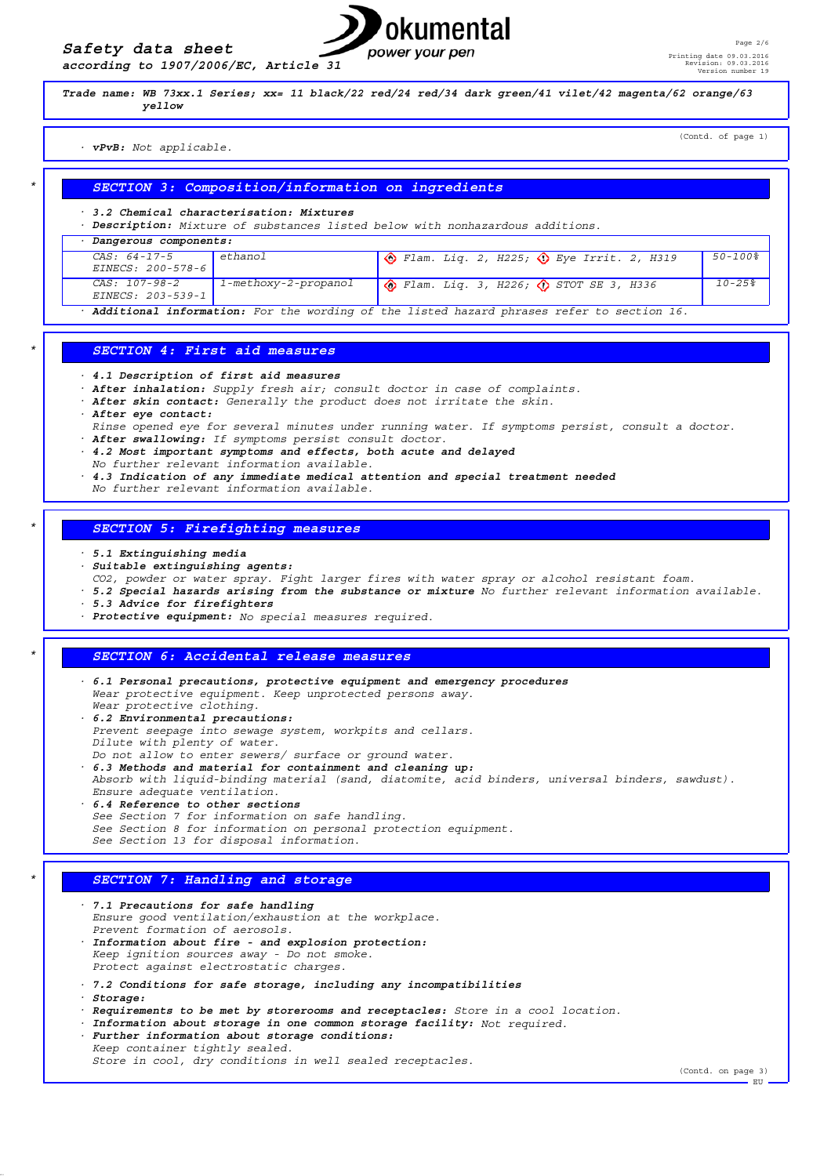*according to 1907/2006/EC, Article 31*



*Trade name: WB 73xx.1 Series; xx= 11 black/22 red/24 red/34 dark green/41 vilet/42 magenta/62 orange/63 yellow*

#### *· vPvB: Not applicable.*

(Contd. of page 1)

# *\* SECTION 3: Composition/information on ingredients*

*· 3.2 Chemical characterisation: Mixtures*

*· Description: Mixture of substances listed below with nonhazardous additions.*

| Dangerous components:                                                                     |                      |                                                           |                |
|-------------------------------------------------------------------------------------------|----------------------|-----------------------------------------------------------|----------------|
| $CAS: 64-17-5$<br>$EINECS: 200-578-6$                                                     | ethanol              | $\circ$ Flam. Liq. 2, H225; $\circ$ Eye Irrit. 2, H319    | $50 - 100$ $8$ |
| CAS: 107-98-2<br>$EINECS: 203-539-1$                                                      | 1-methoxy-2-propanol | $\bigcirc$ Flam. Liq. 3, H226; $\bigcirc$ STOT SE 3, H336 | $10 - 258$     |
| Additional information: For the wording of the listed hazard phrases refer to section 16. |                      |                                                           |                |

#### *\* SECTION 4: First aid measures*

- *· 4.1 Description of first aid measures*
- *· After inhalation: Supply fresh air; consult doctor in case of complaints.*
- *· After skin contact: Generally the product does not irritate the skin.*
- *· After eye contact:*
- *Rinse opened eye for several minutes under running water. If symptoms persist, consult a doctor.*
- *· After swallowing: If symptoms persist consult doctor.*
- *· 4.2 Most important symptoms and effects, both acute and delayed*
- *No further relevant information available.*
- *· 4.3 Indication of any immediate medical attention and special treatment needed*
	- *No further relevant information available.*

#### *\* SECTION 5: Firefighting measures*

- *· 5.1 Extinguishing media*
- *· Suitable extinguishing agents:*
- *CO2, powder or water spray. Fight larger fires with water spray or alcohol resistant foam.*
- *· 5.2 Special hazards arising from the substance or mixture No further relevant information available.*
- *· 5.3 Advice for firefighters*
- *· Protective equipment: No special measures required.*

# *\* SECTION 6: Accidental release measures*

- *· 6.1 Personal precautions, protective equipment and emergency procedures Wear protective equipment. Keep unprotected persons away. Wear protective clothing. · 6.2 Environmental precautions:*
	- *Prevent seepage into sewage system, workpits and cellars. Dilute with plenty of water.*
	- *Do not allow to enter sewers/ surface or ground water.*
	- *· 6.3 Methods and material for containment and cleaning up:*
- *Absorb with liquid-binding material (sand, diatomite, acid binders, universal binders, sawdust).*
- *Ensure adequate ventilation. · 6.4 Reference to other sections See Section 7 for information on safe handling. See Section 8 for information on personal protection equipment. See Section 13 for disposal information.*

# *\* SECTION 7: Handling and storage*

- *· 7.1 Precautions for safe handling Ensure good ventilation/exhaustion at the workplace. Prevent formation of aerosols. · Information about fire - and explosion protection: Keep ignition sources away - Do not smoke. Protect against electrostatic charges. · 7.2 Conditions for safe storage, including any incompatibilities · Storage: · Requirements to be met by storerooms and receptacles: Store in a cool location. · Information about storage in one common storage facility: Not required. · Further information about storage conditions: Keep container tightly sealed.*
	- *Store in cool, dry conditions in well sealed receptacles.*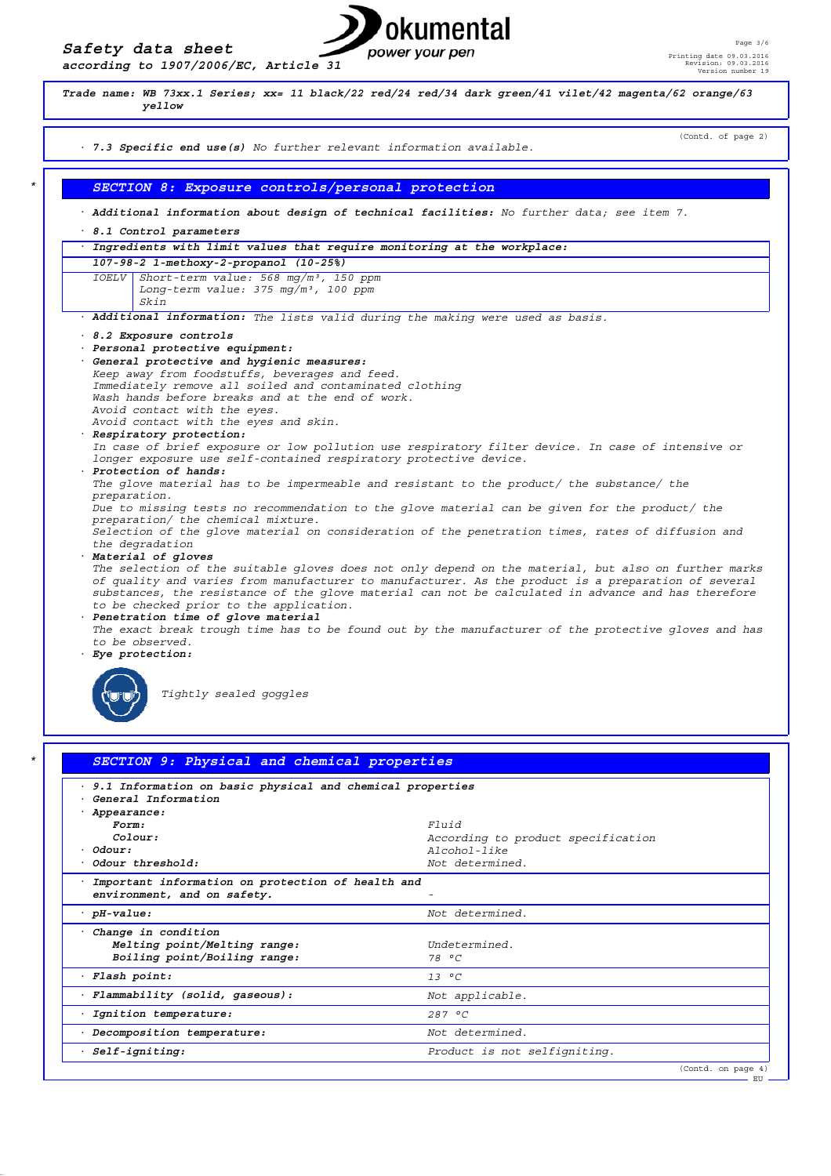



| 9.1 Information on basic physical and chemical properties<br>$\bullet$ |                                    |
|------------------------------------------------------------------------|------------------------------------|
| · General Information                                                  |                                    |
| · Appearance:                                                          |                                    |
| Form:                                                                  | Fluid                              |
| $C_{0}$ lour:                                                          | According to product specification |
| $·$ Odour:                                                             | $A1cohol-1ik$ e                    |
| Odour threshold:                                                       | Not determined.                    |
| Important information on protection of health and                      |                                    |
| environment, and on safety.                                            |                                    |
| $·$ pH-value:                                                          | Not determined.                    |
| Change in condition                                                    |                                    |
| Melting point/Melting range:                                           | Indetermined                       |
| Boiling point/Boiling range:                                           | 78 °C                              |
| · Flash point:                                                         | $13^{\circ}$ C                     |
| · Flammability (solid, gaseous):                                       | Not applicable.                    |
| Ignition temperature:                                                  | 287 °C                             |
| Decomposition temperature:                                             | Not determined.                    |
|                                                                        |                                    |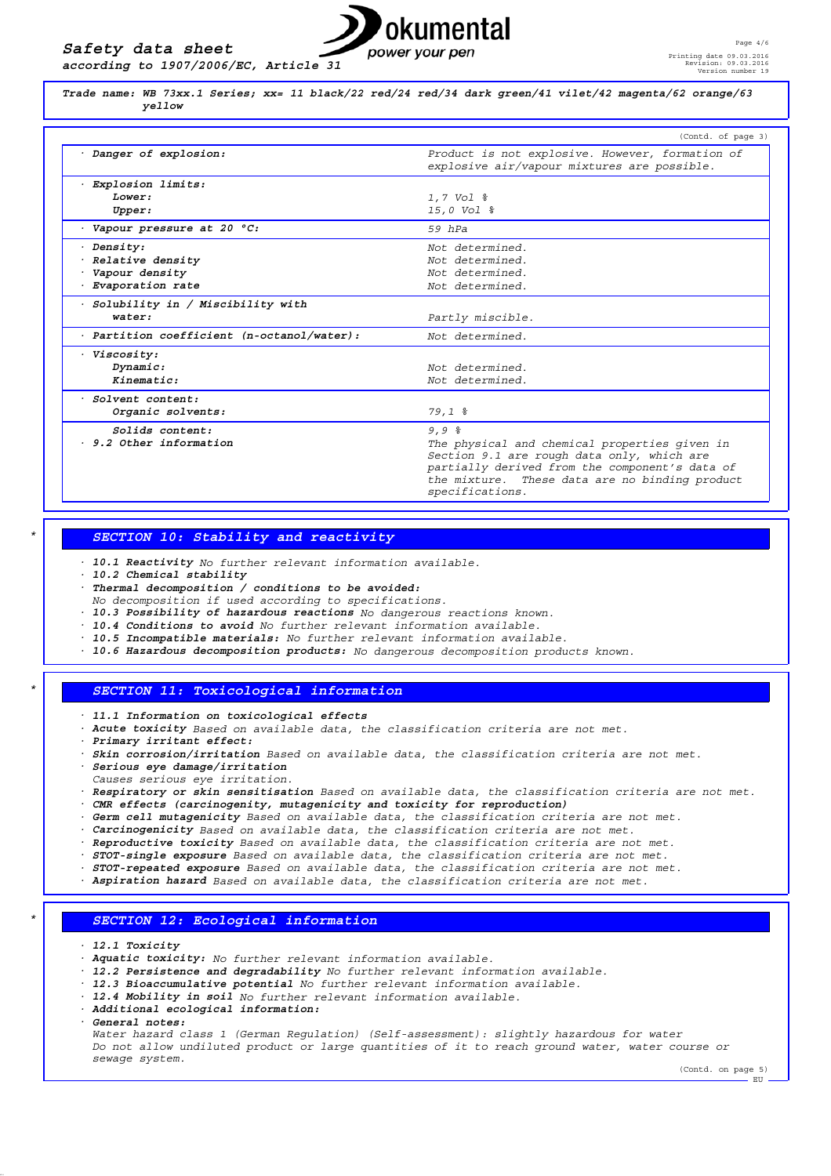

*Trade name: WB 73xx.1 Series; xx= 11 black/22 red/24 red/34 dark green/41 vilet/42 magenta/62 orange/63 yellow*

|                                                  | (Contd. of page 3)                                                                             |
|--------------------------------------------------|------------------------------------------------------------------------------------------------|
| · Danger of explosion:                           | Product is not explosive. However, formation of<br>explosive air/vapour mixtures are possible. |
| Explosion limits:                                |                                                                                                |
| Lower:                                           | 1,7 Vol %                                                                                      |
| Upper:                                           | 15,0 Vol %                                                                                     |
| Vapour pressure at 20 °C:                        | $59$ $hPa$                                                                                     |
| Density:                                         | Not determined.                                                                                |
| Relative density                                 | Not determined.                                                                                |
| Vapour density                                   | Not determined.                                                                                |
| Evaporation rate                                 | Not determined.                                                                                |
| Solubility in / Miscibility with                 |                                                                                                |
| water:                                           | Partly miscible.                                                                               |
| $\cdot$ Partition coefficient (n-octanol/water): | Not determined.                                                                                |
| Viscosity:                                       |                                                                                                |
| Dynamic:                                         | Not determined.                                                                                |
| Kinematic:                                       | Not determined.                                                                                |
| Solvent content:                                 |                                                                                                |
| Organic solvents:                                | $79,1$ $%$                                                                                     |
| Solids content:                                  | 9,98                                                                                           |
| 9.2 Other information                            | The physical and chemical properties given in                                                  |
|                                                  | Section 9.1 are rough data only, which are                                                     |
|                                                  | partially derived from the component's data of                                                 |
|                                                  | the mixture. These data are no binding product                                                 |
|                                                  | specifications.                                                                                |

#### *\* SECTION 10: Stability and reactivity*

- *· 10.1 Reactivity No further relevant information available.*
- *· 10.2 Chemical stability*
- *· Thermal decomposition / conditions to be avoided:*
- *No decomposition if used according to specifications.*
- *· 10.3 Possibility of hazardous reactions No dangerous reactions known.*
- *· 10.4 Conditions to avoid No further relevant information available.*
- *· 10.5 Incompatible materials: No further relevant information available.*
- *· 10.6 Hazardous decomposition products: No dangerous decomposition products known.*

### *\* SECTION 11: Toxicological information*

- *· 11.1 Information on toxicological effects*
- *· Acute toxicity Based on available data, the classification criteria are not met.*
- *· Primary irritant effect:*
- *· Skin corrosion/irritation Based on available data, the classification criteria are not met.*
- *· Serious eye damage/irritation*
- *Causes serious eye irritation.*
- *· Respiratory or skin sensitisation Based on available data, the classification criteria are not met. · CMR effects (carcinogenity, mutagenicity and toxicity for reproduction)*
- *· Germ cell mutagenicity Based on available data, the classification criteria are not met.*
- *· Carcinogenicity Based on available data, the classification criteria are not met.*
- *· Reproductive toxicity Based on available data, the classification criteria are not met.*
- *· STOT-single exposure Based on available data, the classification criteria are not met.*
- *· STOT-repeated exposure Based on available data, the classification criteria are not met.*
- *· Aspiration hazard Based on available data, the classification criteria are not met.*

#### *\* SECTION 12: Ecological information*

- *· 12.1 Toxicity*
- *· Aquatic toxicity: No further relevant information available.*
- *· 12.2 Persistence and degradability No further relevant information available.*
- *· 12.3 Bioaccumulative potential No further relevant information available.*
- *· 12.4 Mobility in soil No further relevant information available.*
- *· Additional ecological information:*
- *· General notes:*

*Water hazard class 1 (German Regulation) (Self-assessment): slightly hazardous for water Do not allow undiluted product or large quantities of it to reach ground water, water course or sewage system.*

(Contd. on page 5)  $\cdot$  EU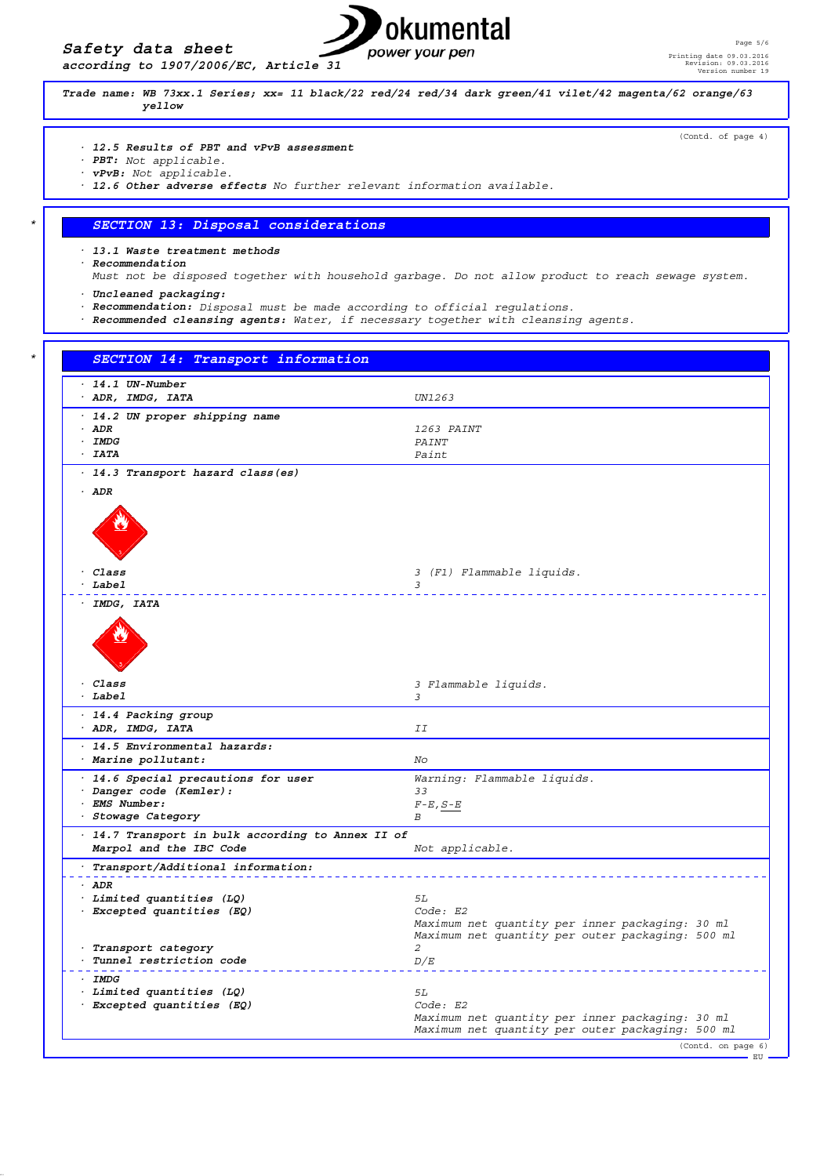



(Contd. of page 4)

*Trade name: WB 73xx.1 Series; xx= 11 black/22 red/24 red/34 dark green/41 vilet/42 magenta/62 orange/63 yellow*

- *· 12.5 Results of PBT and vPvB assessment*
- *· PBT: Not applicable.*
- *· vPvB: Not applicable.*
- *· 12.6 Other adverse effects No further relevant information available.*

# *\* SECTION 13: Disposal considerations*

*· 13.1 Waste treatment methods*

- *· Recommendation*
- *Must not be disposed together with household garbage. Do not allow product to reach sewage system.*
- *· Uncleaned packaging:*
- *· Recommendation: Disposal must be made according to official regulations.*
- *· Recommended cleansing agents: Water, if necessary together with cleansing agents.*

| $-14.1$ UN-Number                                                            |                                                  |
|------------------------------------------------------------------------------|--------------------------------------------------|
| · ADR, IMDG, IATA                                                            | UN1263                                           |
| · 14.2 UN proper shipping name                                               |                                                  |
| $·$ ADR                                                                      | 1263 PAINT                                       |
| $\cdot$ IMDG                                                                 | PAINT                                            |
| $- IATA$                                                                     | Paint                                            |
| · 14.3 Transport hazard class (es)                                           |                                                  |
| $·$ ADR                                                                      |                                                  |
|                                                                              |                                                  |
|                                                                              |                                                  |
|                                                                              |                                                  |
|                                                                              |                                                  |
| · Class                                                                      | 3 (F1) Flammable liquids.                        |
| $·$ Label                                                                    | 3                                                |
| · IMDG, IATA                                                                 |                                                  |
|                                                                              |                                                  |
|                                                                              |                                                  |
|                                                                              |                                                  |
|                                                                              |                                                  |
| · Class                                                                      | 3 Flammable liquids.                             |
| $·$ Label                                                                    | 3                                                |
| · 14.4 Packing group                                                         |                                                  |
| · ADR, IMDG, IATA                                                            | ΙI                                               |
| · 14.5 Environmental hazards:                                                |                                                  |
| · Marine pollutant:                                                          | No                                               |
|                                                                              |                                                  |
| · 14.6 Special precautions for user                                          | Warning: Flammable liquids.                      |
| · Danger code (Kemler):<br>· EMS Number:                                     | 33                                               |
| · Stowage Category                                                           | $F$ -E, $S$ -E<br>В                              |
|                                                                              |                                                  |
| · 14.7 Transport in bulk according to Annex II of<br>Marpol and the IBC Code | Not applicable.                                  |
|                                                                              |                                                  |
| · Transport/Additional information:                                          |                                                  |
| $·$ ADR                                                                      |                                                  |
| · Limited quantities (LQ)                                                    | 5L                                               |
| · Excepted quantities (EQ)                                                   | Code: E2                                         |
|                                                                              | Maximum net quantity per inner packaging: 30 ml  |
|                                                                              | Maximum net quantity per outer packaging: 500 ml |
| · Transport category<br>· Tunnel restriction code                            | 2                                                |
|                                                                              | D/E                                              |
| $\cdot$ IMDG                                                                 |                                                  |
| · Limited quantities (LQ)                                                    | 5L                                               |
| · Excepted quantities (EQ)                                                   | Code: E2                                         |
|                                                                              | Maximum net quantity per inner packaging: 30 ml  |
|                                                                              | Maximum net quantity per outer packaging: 500 ml |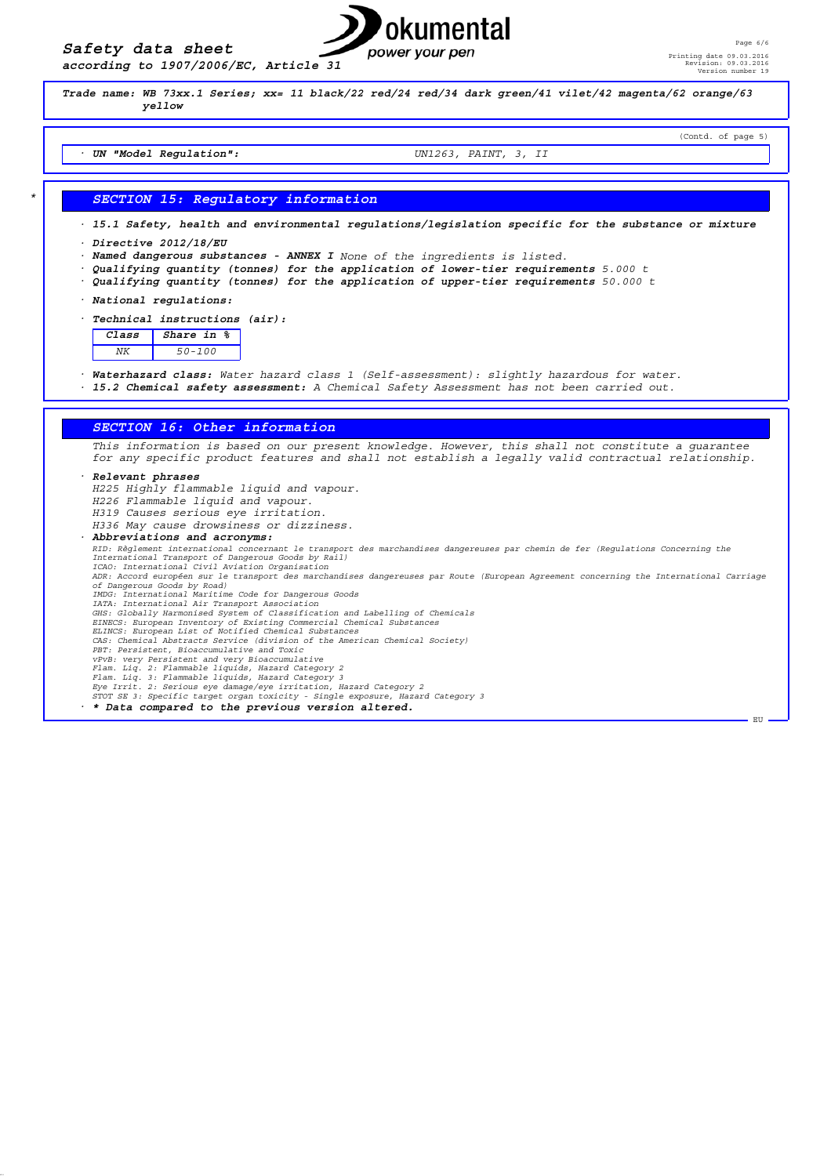

*Trade name: WB 73xx.1 Series; xx= 11 black/22 red/24 red/34 dark green/41 vilet/42 magenta/62 orange/63 yellow* (Contd. of page 5) *· UN "Model Regulation": UN1263, PAINT, 3, II \* SECTION 15: Regulatory information · 15.1 Safety, health and environmental regulations/legislation specific for the substance or mixture · Directive 2012/18/EU · Named dangerous substances - ANNEX I None of the ingredients is listed. · Qualifying quantity (tonnes) for the application of lower-tier requirements 5.000 t · Qualifying quantity (tonnes) for the application of upper-tier requirements 50.000 t · National regulations: · Technical instructions (air): Class Share in % NK 50-100 · Waterhazard class: Water hazard class 1 (Self-assessment): slightly hazardous for water. · 15.2 Chemical safety assessment: A Chemical Safety Assessment has not been carried out. SECTION 16: Other information This information is based on our present knowledge. However, this shall not constitute a guarantee for any specific product features and shall not establish a legally valid contractual relationship. · Relevant phrases H225 Highly flammable liquid and vapour. H226 Flammable liquid and vapour. H319 Causes serious eye irritation. H336 May cause drowsiness or dizziness. · Abbreviations and acronyms: RID: Règlement international concernant le transport des marchandises dangereuses par chemin de fer (Regulations Concerning the International Transport of Dangerous Goods by Rail) ICAO: International Civil Aviation Organisation ADR: Accord européen sur le transport des marchandises dangereuses par Route (European Agreement concerning the International Carriage of Dangerous Goods by Road) IMDG: International Maritime Code for Dangerous Goods IATA: International Air Transport Association GHS: Globally Harmonised System of Classification and Labelling of Chemicals EINECS: European Inventory of Existing Commercial Chemical Substances ELINCS: European List of Notified Chemical Substances CAS: Chemical Abstracts Service (division of the American Chemical Society)* PBT: Persistent, Bioaccumulative and Toxic<br>vPvB: very Persistent and very Bioaccumulative<br>Flam. Liq. 2: Flammable liquids, Hazard Category 2<br>Flam. Liq. 3: Flammable liquids, Hazard Category 3<br>Eye Irrit. 2: Serious eye dama *STOT SE 3: Specific target organ toxicity - Single exposure, Hazard Category 3 · \* Data compared to the previous version altered.*  EU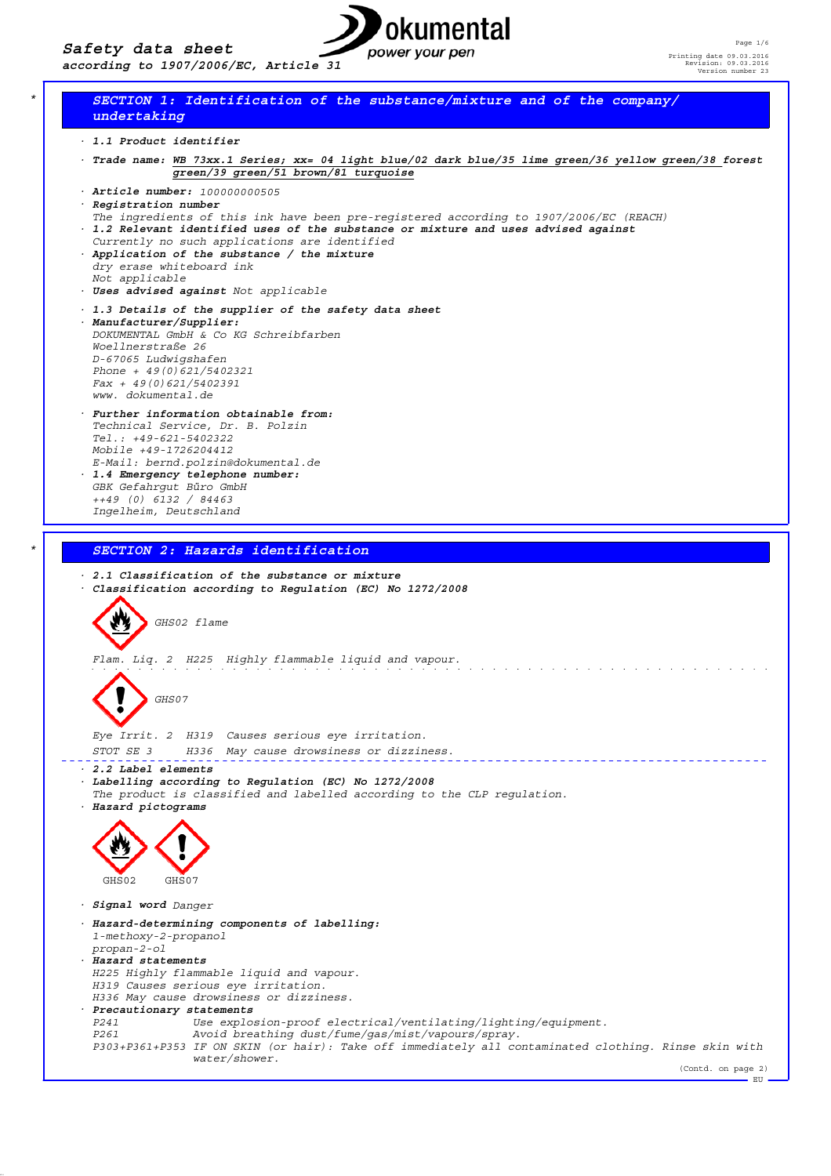

# *\* SECTION 1: Identification of the substance/mixture and of the company/ undertaking*

- *· 1.1 Product identifier*
- *· Trade name: WB 73xx.1 Series; xx= 04 light blue/02 dark blue/35 lime green/36 yellow green/38 forest green/39 green/51 brown/81 turquoise*
- *· Article number: 100000000505 · Registration number*
- *The ingredients of this ink have been pre-registered according to 1907/2006/EC (REACH)*
- *· 1.2 Relevant identified uses of the substance or mixture and uses advised against*
- *Currently no such applications are identified · Application of the substance / the mixture dry erase whiteboard ink*
- *Not applicable · Uses advised against Not applicable*
- *· 1.3 Details of the supplier of the safety data sheet*
- *· Manufacturer/Supplier: DOKUMENTAL GmbH & Co KG Schreibfarben Woellnerstraße 26 D-67065 Ludwigshafen Phone + 49(0)621/5402321 Fax + 49(0)621/5402391 www. dokumental.de*
- *· Further information obtainable from: Technical Service, Dr. B. Polzin Tel.: +49-621-5402322 Mobile +49-1726204412 E-Mail: bernd.polzin@dokumental.de · 1.4 Emergency telephone number: GBK Gefahrgut Büro GmbH*
- *++49 (0) 6132 / 84463 Ingelheim, Deutschland*

# *\* SECTION 2: Hazards identification*

# *· 2.1 Classification of the substance or mixture · Classification according to Regulation (EC) No 1272/2008 GHS02 flame Flam. Liq. 2 H225 Highly flammable liquid and vapour.* <u>a dia mandalan di kacamatan di kacamatan di kacamatan di kacamatan di kacamatan di kacamatan di kacamatan di ka</u> *GHS07 Eye Irrit. 2 H319 Causes serious eye irritation. STOT SE 3 H336 May cause drowsiness or dizziness.* \_\_\_\_\_\_\_\_\_\_\_\_\_\_\_\_\_\_\_\_\_\_\_\_\_\_\_\_\_\_\_\_ *· 2.2 Label elements · Labelling according to Regulation (EC) No 1272/2008 The product is classified and labelled according to the CLP regulation. · Hazard pictograms* GHS02 GHS07 *· Signal word Danger · Hazard-determining components of labelling: 1-methoxy-2-propanol propan-2-ol · Hazard statements H225 Highly flammable liquid and vapour. H319 Causes serious eye irritation. H336 May cause drowsiness or dizziness. · Precautionary statements P241 Use explosion-proof electrical/ventilating/lighting/equipment. P261 Avoid breathing dust/fume/gas/mist/vapours/spray. P303+P361+P353 IF ON SKIN (or hair): Take off immediately all contaminated clothing. Rinse skin with water/shower.* (Contd. on page 2) EU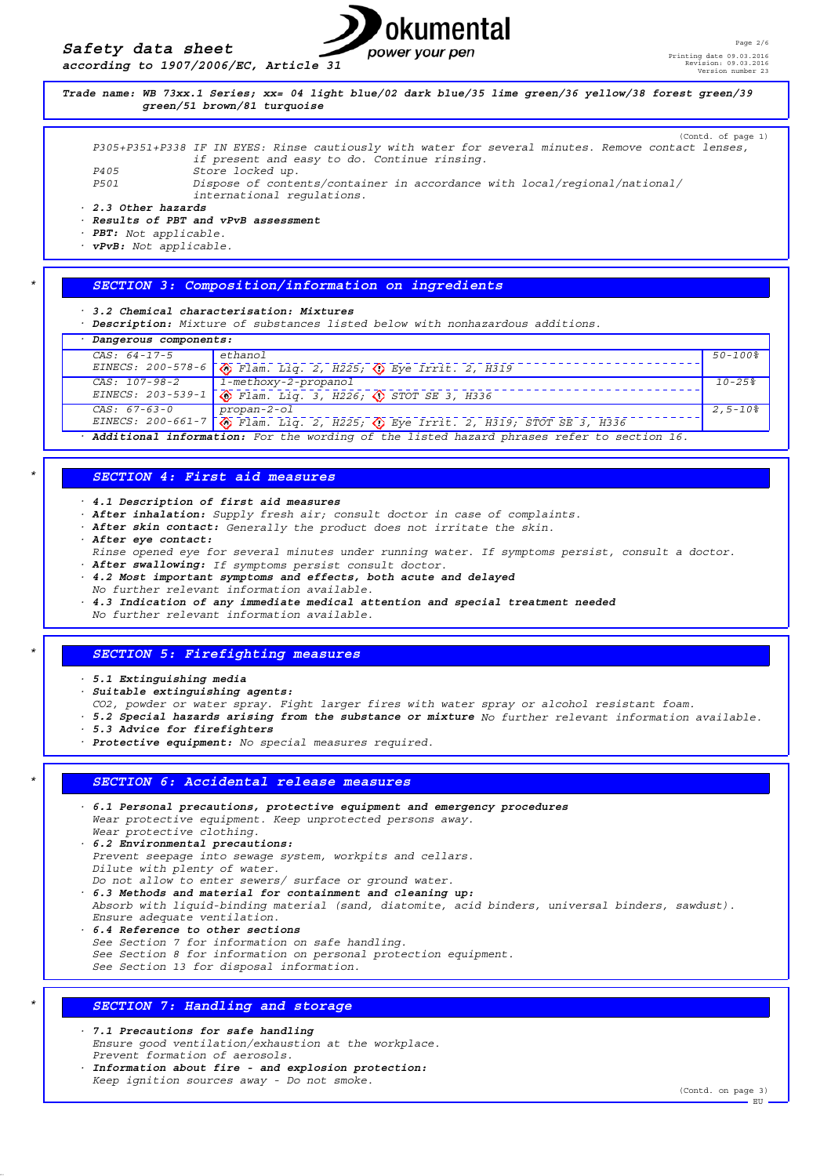



*P405 Store locked up. P501 Dispose of contents/container in accordance with local/regional/national/ international regulations.*

*· 2.3 Other hazards*

*· Results of PBT and vPvB assessment*

*· PBT: Not applicable.*

*· vPvB: Not applicable.*

#### *\* SECTION 3: Composition/information on ingredients*

*· 3.2 Chemical characterisation: Mixtures*

*· Description: Mixture of substances listed below with nonhazardous additions.*

| Dangerous components: |                                                                               |                       |
|-----------------------|-------------------------------------------------------------------------------|-----------------------|
| $CAS: 64-17-5$        | $ $ ethanol                                                                   | $50 - 100$ $^{\circ}$ |
|                       | EINECS: 200-578-6   Tlam. Lig. 2, H225; 12 Eye Irrit. 2, H319                 |                       |
| CAS: 107-98-2         | 1-methoxy-2-propanol                                                          | $10 - 25$             |
|                       | EINECS: 203-539-1 $\sqrt{}$ Flam. Liq. 3, H226; $\sqrt{}$ STOT SE 3, H336     |                       |
| $CAS: 67-63-0$        | $propan-2-o1$                                                                 | $2.5 - 10\%$          |
|                       | EINECS: 200-661-7 \ Flam. Lig. 2, H225; \ Eye Irrit. 2, H319; STOT SE 3, H336 |                       |

*· Additional information: For the wording of the listed hazard phrases refer to section 16.*

#### *\* SECTION 4: First aid measures*

*· 4.1 Description of first aid measures*

*· After inhalation: Supply fresh air; consult doctor in case of complaints.*

- *· After skin contact: Generally the product does not irritate the skin.*
- *· After eye contact:*
- *Rinse opened eye for several minutes under running water. If symptoms persist, consult a doctor.*
- *· After swallowing: If symptoms persist consult doctor.*
- *· 4.2 Most important symptoms and effects, both acute and delayed*
- *No further relevant information available.*
- *· 4.3 Indication of any immediate medical attention and special treatment needed*
- *No further relevant information available.*

#### *\* SECTION 5: Firefighting measures*

*· 5.1 Extinguishing media*

- *· Suitable extinguishing agents:*
- *CO2, powder or water spray. Fight larger fires with water spray or alcohol resistant foam.*
- *· 5.2 Special hazards arising from the substance or mixture No further relevant information available.*
- *· 5.3 Advice for firefighters*
- *· Protective equipment: No special measures required.*

#### *\* SECTION 6: Accidental release measures*

*· 6.1 Personal precautions, protective equipment and emergency procedures Wear protective equipment. Keep unprotected persons away. Wear protective clothing.*

*· 6.2 Environmental precautions: Prevent seepage into sewage system, workpits and cellars. Dilute with plenty of water.*

*Do not allow to enter sewers/ surface or ground water. · 6.3 Methods and material for containment and cleaning up: Absorb with liquid-binding material (sand, diatomite, acid binders, universal binders, sawdust). Ensure adequate ventilation.*

- *· 6.4 Reference to other sections*
- *See Section 7 for information on safe handling.*
- *See Section 8 for information on personal protection equipment.*

*See Section 13 for disposal information.*

#### *\* SECTION 7: Handling and storage*

*· 7.1 Precautions for safe handling Ensure good ventilation/exhaustion at the workplace. Prevent formation of aerosols.*

*· Information about fire - and explosion protection: Keep ignition sources away - Do not smoke.*

(Contd. on page 3)

EU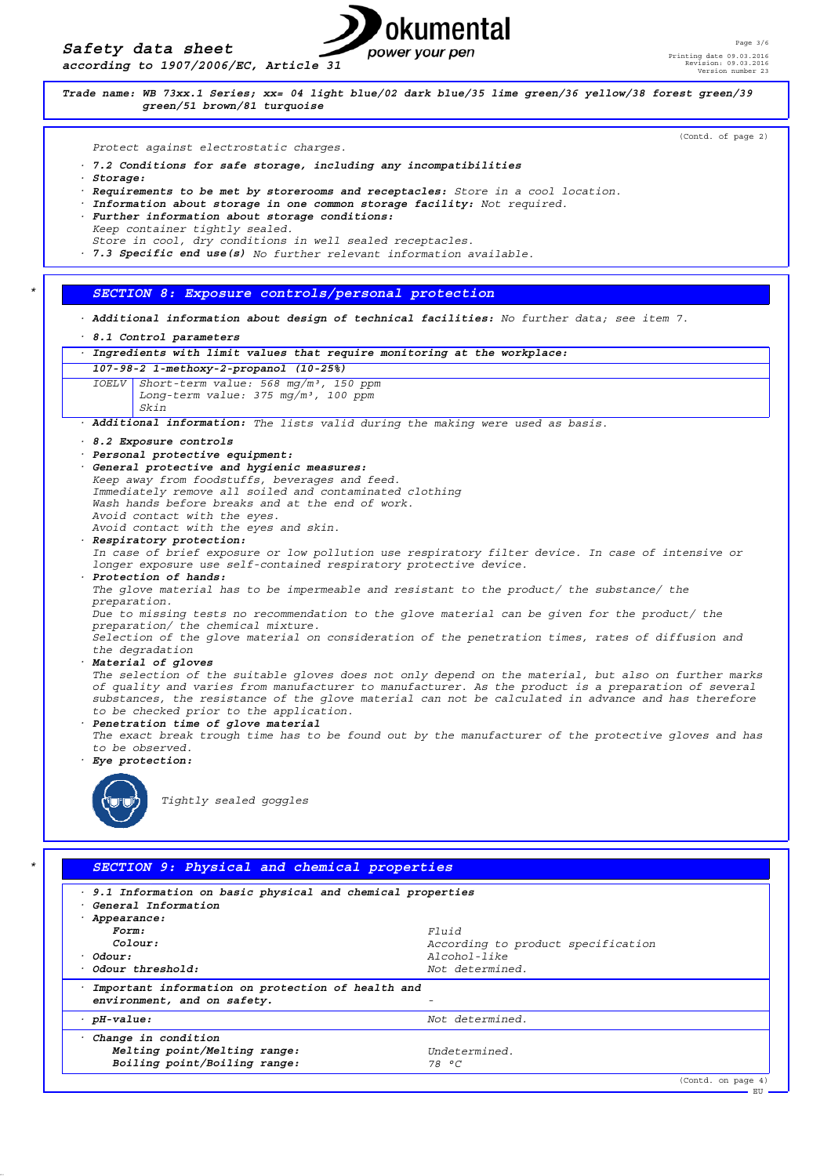*Safety data sheet according to 1907/2006/EC, Article 31*

# okumental power your pen

(Contd. on page 4)

. EU



*· pH-value: Not determined.*

*Melting point/Melting range: Undetermined.*

*Boiling point/Boiling range: 78 °C*

*· Change in condition*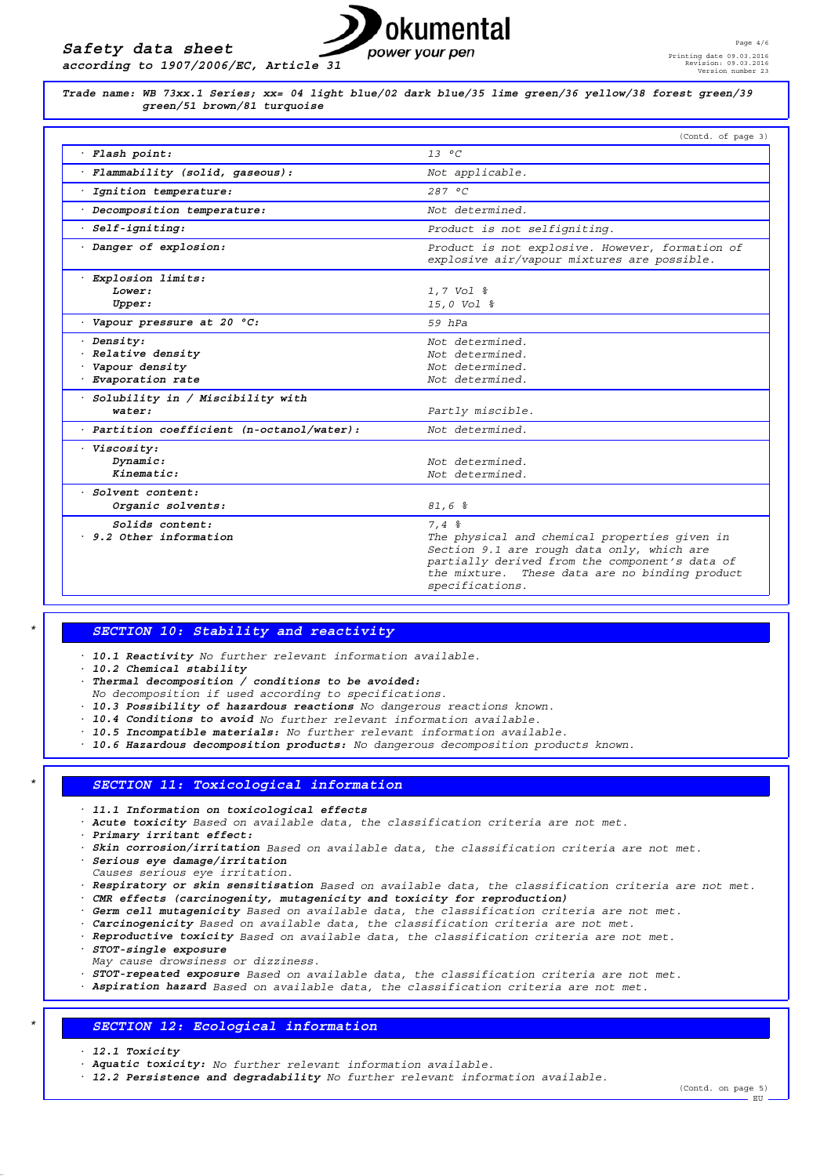*according to 1907/2006/EC, Article 31*



*Trade name: WB 73xx.1 Series; xx= 04 light blue/02 dark blue/35 lime green/36 yellow/38 forest green/39 green/51 brown/81 turquoise*

|                                                                          | (Contd. of page 3)                                                                                                                                                                                                         |
|--------------------------------------------------------------------------|----------------------------------------------------------------------------------------------------------------------------------------------------------------------------------------------------------------------------|
| Flash point:                                                             | $13^{\circ}$ C                                                                                                                                                                                                             |
| · Flammability (solid, qaseous):                                         | Not applicable.                                                                                                                                                                                                            |
| Ignition temperature:                                                    | 287 °C                                                                                                                                                                                                                     |
| · Decomposition temperature:                                             | Not determined.                                                                                                                                                                                                            |
| Self-igniting:                                                           | Product is not selfigniting.                                                                                                                                                                                               |
| · Danger of explosion:                                                   | Product is not explosive. However, formation of<br>explosive air/vapour mixtures are possible.                                                                                                                             |
| Explosion limits:<br>Lower:<br>Upper:                                    | 1,7 Vol %<br>15,0 Vol %                                                                                                                                                                                                    |
| $\cdot$ Vapour pressure at 20 $\degree$ C:                               | $59$ $hPa$                                                                                                                                                                                                                 |
| · Density:<br>Relative density<br>· Vapour density<br>· Evaporation rate | Not determined.<br>Not determined.<br>Not determined.<br>Not determined.                                                                                                                                                   |
| · Solubility in / Miscibility with<br>water:                             | Partly miscible.                                                                                                                                                                                                           |
| · Partition coefficient (n-octanol/water):                               | Not determined.                                                                                                                                                                                                            |
| · Viscosity:<br>Dynamic:<br>Kinematic:                                   | Not determined.<br>Not determined.                                                                                                                                                                                         |
| . Solvent content:<br>Organic solvents:                                  | 81,6%                                                                                                                                                                                                                      |
| Solids content:<br>. 9.2 Other information                               | 7.4%<br>The physical and chemical properties given in<br>Section 9.1 are rough data only, which are<br>partially derived from the component's data of<br>the mixture. These data are no binding product<br>specifications. |

# *\* SECTION 10: Stability and reactivity*

- *· 10.1 Reactivity No further relevant information available.*
- *· 10.2 Chemical stability*
- *· Thermal decomposition / conditions to be avoided:*
- *No decomposition if used according to specifications.*
- *· 10.3 Possibility of hazardous reactions No dangerous reactions known.*
- *· 10.4 Conditions to avoid No further relevant information available.*
- *· 10.5 Incompatible materials: No further relevant information available.*
- *· 10.6 Hazardous decomposition products: No dangerous decomposition products known.*

#### *\* SECTION 11: Toxicological information*

- *· 11.1 Information on toxicological effects*
- *· Acute toxicity Based on available data, the classification criteria are not met.*
- *· Primary irritant effect:*
- *· Skin corrosion/irritation Based on available data, the classification criteria are not met.*
- *· Serious eye damage/irritation*
- *Causes serious eye irritation.*
- *· Respiratory or skin sensitisation Based on available data, the classification criteria are not met.*
- *· CMR effects (carcinogenity, mutagenicity and toxicity for reproduction)*
- *· Germ cell mutagenicity Based on available data, the classification criteria are not met.*
- *· Carcinogenicity Based on available data, the classification criteria are not met.*
- *· Reproductive toxicity Based on available data, the classification criteria are not met.*
- *· STOT-single exposure*
- *May cause drowsiness or dizziness.*
- *· STOT-repeated exposure Based on available data, the classification criteria are not met.*
- *· Aspiration hazard Based on available data, the classification criteria are not met.*

## *\* SECTION 12: Ecological information*

- *· 12.1 Toxicity*
- *· Aquatic toxicity: No further relevant information available.*
- *· 12.2 Persistence and degradability No further relevant information available.*

(Contd. on page 5) - EU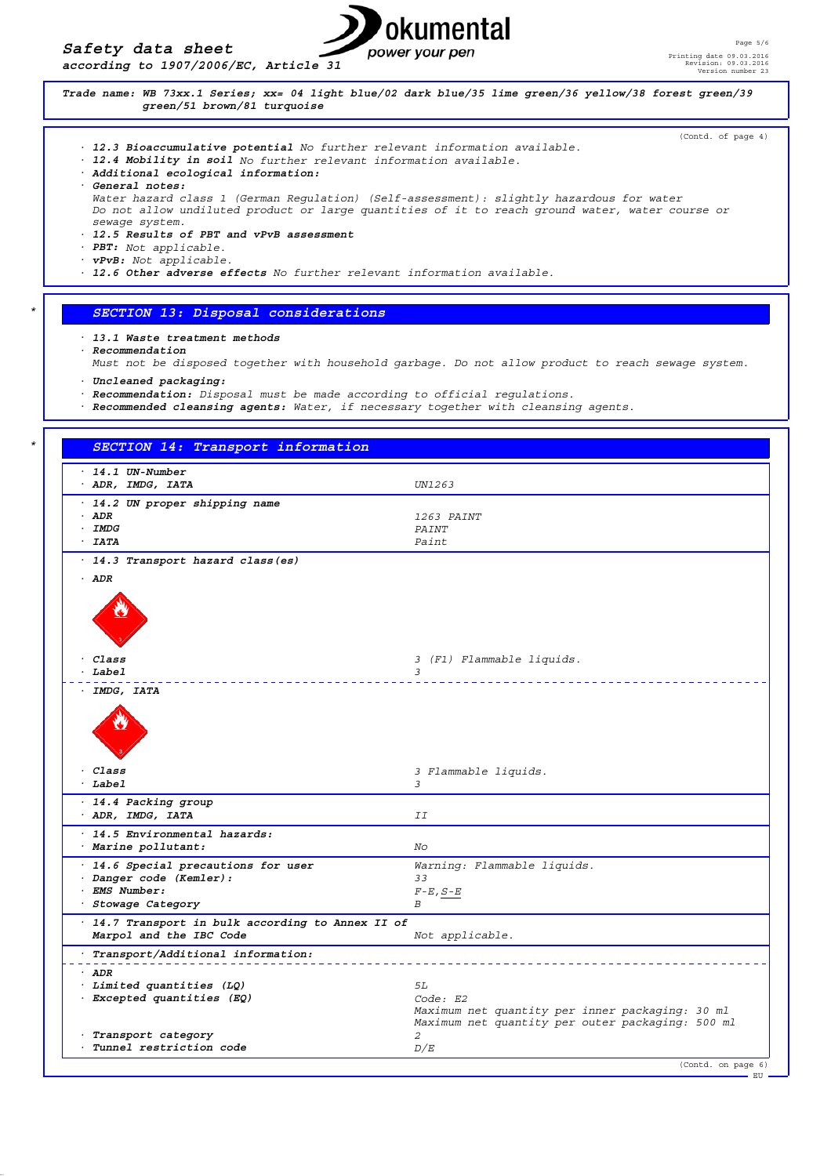

(Contd. of page 4)

*Trade name: WB 73xx.1 Series; xx= 04 light blue/02 dark blue/35 lime green/36 yellow/38 forest green/39 green/51 brown/81 turquoise*

- *· 12.3 Bioaccumulative potential No further relevant information available.*
- *· 12.4 Mobility in soil No further relevant information available.*
- *· Additional ecological information:*

*· General notes:*

*Water hazard class 1 (German Regulation) (Self-assessment): slightly hazardous for water Do not allow undiluted product or large quantities of it to reach ground water, water course or sewage system.*

- *· 12.5 Results of PBT and vPvB assessment*
- *· PBT: Not applicable.*
- *· vPvB: Not applicable.*
- *· 12.6 Other adverse effects No further relevant information available.*
	- *\* SECTION 13: Disposal considerations*
- *· 13.1 Waste treatment methods*
- *· Recommendation*
- *Must not be disposed together with household garbage. Do not allow product to reach sewage system. · Uncleaned packaging:*
- *· Recommendation: Disposal must be made according to official regulations.*
- *· Recommended cleansing agents: Water, if necessary together with cleansing agents.*

| $-14.1$ UN-Number                                 |                                                  |
|---------------------------------------------------|--------------------------------------------------|
| · ADR, IMDG, IATA                                 | UN1263                                           |
| · 14.2 UN proper shipping name                    |                                                  |
| · ADR                                             | 1263 PAINT                                       |
| $·$ IMDG                                          | PAINT                                            |
| $-IATA$                                           | Paint                                            |
|                                                   |                                                  |
| · 14.3 Transport hazard class (es)                |                                                  |
| $·$ ADR                                           |                                                  |
|                                                   |                                                  |
|                                                   |                                                  |
|                                                   |                                                  |
|                                                   |                                                  |
| · Class                                           | 3 (F1) Flammable liquids.                        |
| · Label                                           | 3                                                |
|                                                   |                                                  |
| · IMDG, IATA                                      |                                                  |
|                                                   |                                                  |
|                                                   |                                                  |
|                                                   |                                                  |
|                                                   |                                                  |
|                                                   |                                                  |
| $\cdot$ Class                                     | 3 Flammable liquids.                             |
| $-Label$                                          | 3                                                |
| · 14.4 Packing group                              |                                                  |
| · ADR, IMDG, IATA                                 | II                                               |
| · 14.5 Environmental hazards:                     |                                                  |
| · Marine pollutant:                               | No                                               |
|                                                   |                                                  |
| · 14.6 Special precautions for user               | Warning: Flammable liquids.                      |
| · Danger code (Kemler):                           | 33                                               |
| · EMS Number:                                     | $F-E, S-E$                                       |
| · Stowage Category                                | В                                                |
| · 14.7 Transport in bulk according to Annex II of |                                                  |
| Marpol and the IBC Code                           | Not applicable.                                  |
| · Transport/Additional information:               |                                                  |
| $-$ ADR                                           |                                                  |
| · Limited quantities (LQ)                         | 5L                                               |
| · Excepted quantities (EQ)                        | Code: E2                                         |
|                                                   | Maximum net quantity per inner packaging: 30 ml  |
|                                                   | Maximum net quantity per outer packaging: 500 ml |
|                                                   | 2                                                |
| · Transport category                              |                                                  |

EU